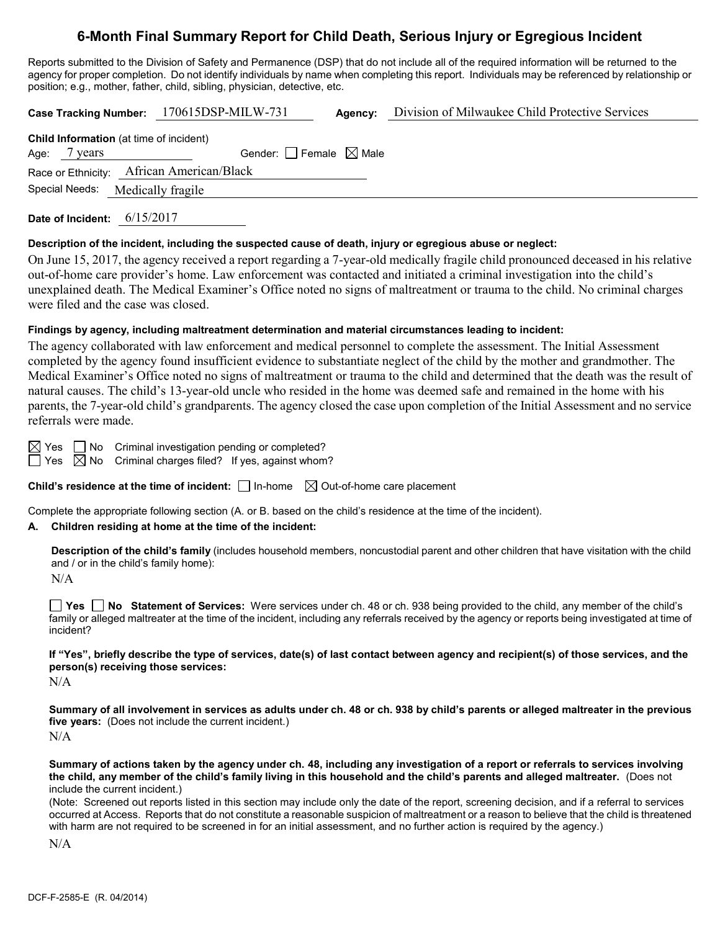# **6-Month Final Summary Report for Child Death, Serious Injury or Egregious Incident**

Reports submitted to the Division of Safety and Permanence (DSP) that do not include all of the required information will be returned to the agency for proper completion. Do not identify individuals by name when completing this report. Individuals may be referenced by relationship or position; e.g., mother, father, child, sibling, physician, detective, etc.

**Case Tracking Number:** 170615DSP-MILW-731 **Agency:** Division of Milwaukee Child Protective Services **Child Information** (at time of incident) Age:  $7 \text{ years}$  Gender: Female  $\boxtimes$  Male Race or Ethnicity: African American/Black Special Needs: Medically fragile

**Date of Incident:** 6/15/2017

#### **Description of the incident, including the suspected cause of death, injury or egregious abuse or neglect:**

On June 15, 2017, the agency received a report regarding a 7-year-old medically fragile child pronounced deceased in his relative out-of-home care provider's home. Law enforcement was contacted and initiated a criminal investigation into the child's unexplained death. The Medical Examiner's Office noted no signs of maltreatment or trauma to the child. No criminal charges were filed and the case was closed.

## **Findings by agency, including maltreatment determination and material circumstances leading to incident:**

The agency collaborated with law enforcement and medical personnel to complete the assessment. The Initial Assessment completed by the agency found insufficient evidence to substantiate neglect of the child by the mother and grandmother. The Medical Examiner's Office noted no signs of maltreatment or trauma to the child and determined that the death was the result of natural causes. The child's 13-year-old uncle who resided in the home was deemed safe and remained in the home with his parents, the 7-year-old child's grandparents. The agency closed the case upon completion of the Initial Assessment and no service referrals were made.

 $\boxtimes$  Yes  $\Box$  No Criminal investigation pending or completed?  $\Box$  Yes  $\boxtimes$  No Criminal charges filed? If yes, against whom?

**Child's residence at the time of incident:**  $\Box$  In-home  $\Box$  Out-of-home care placement

Complete the appropriate following section (A. or B. based on the child's residence at the time of the incident).

## **A. Children residing at home at the time of the incident:**

**Description of the child's family** (includes household members, noncustodial parent and other children that have visitation with the child and / or in the child's family home):

N/A

**Yes No Statement of Services:** Were services under ch. 48 or ch. 938 being provided to the child, any member of the child's family or alleged maltreater at the time of the incident, including any referrals received by the agency or reports being investigated at time of incident?

**If "Yes", briefly describe the type of services, date(s) of last contact between agency and recipient(s) of those services, and the person(s) receiving those services:**

N/A

**Summary of all involvement in services as adults under ch. 48 or ch. 938 by child's parents or alleged maltreater in the previous five years:** (Does not include the current incident.)  $N/A$ 

**Summary of actions taken by the agency under ch. 48, including any investigation of a report or referrals to services involving the child, any member of the child's family living in this household and the child's parents and alleged maltreater.** (Does not include the current incident.)

(Note: Screened out reports listed in this section may include only the date of the report, screening decision, and if a referral to services occurred at Access. Reports that do not constitute a reasonable suspicion of maltreatment or a reason to believe that the child is threatened with harm are not required to be screened in for an initial assessment, and no further action is required by the agency.)

N/A